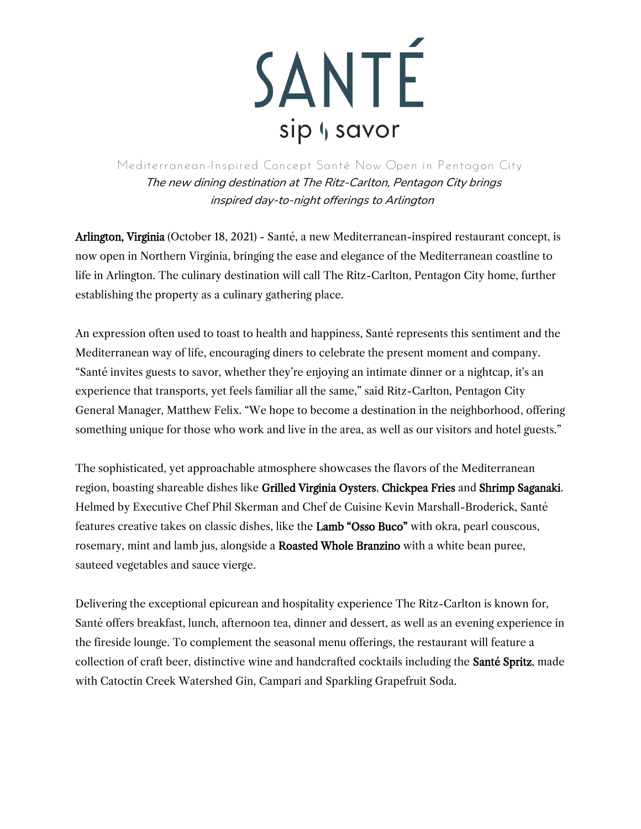

**Mediterranean-Inspired Concept Santé Now Open in Pentagon City**  The new dining destination at The Ritz-Carlton, Pentagon City brings inspired day-to-night offerings to Arlington

Arlington, Virginia (October 18, 2021) - Santé, a new Mediterranean-inspired restaurant concept, is now open in Northern Virginia, bringing the ease and elegance of the Mediterranean coastline to life in Arlington. The culinary destination will call The Ritz-Carlton, Pentagon City home, further establishing the property as a culinary gathering place.

An expression often used to toast to health and happiness, Santé represents this sentiment and the Mediterranean way of life, encouraging diners to celebrate the present moment and company. "Santé invites guests to savor, whether they're enjoying an intimate dinner or a nightcap, it's an experience that transports, yet feels familiar all the same," said Ritz-Carlton, Pentagon City General Manager, Matthew Felix. "We hope to become a destination in the neighborhood, offering something unique for those who work and live in the area, as well as our visitors and hotel guests."

The sophisticated, yet approachable atmosphere showcases the flavors of the Mediterranean region, boasting shareable dishes like Grilled Virginia Oysters, Chickpea Fries and Shrimp Saganaki. Helmed by Executive Chef Phil Skerman and Chef de Cuisine Kevin Marshall-Broderick, Santé features creative takes on classic dishes, like the Lamb "Osso Buco" with okra, pearl couscous, rosemary, mint and lamb jus, alongside a Roasted Whole Branzino with a white bean puree, sauteed vegetables and sauce vierge.

Delivering the exceptional epicurean and hospitality experience The Ritz-Carlton is known for, Santé offers breakfast, lunch, afternoon tea, dinner and dessert, as well as an evening experience in the fireside lounge. To complement the seasonal menu offerings, the restaurant will feature a collection of craft beer, distinctive wine and handcrafted cocktails including the Santé Spritz, made with Catoctin Creek Watershed Gin, Campari and Sparkling Grapefruit Soda.